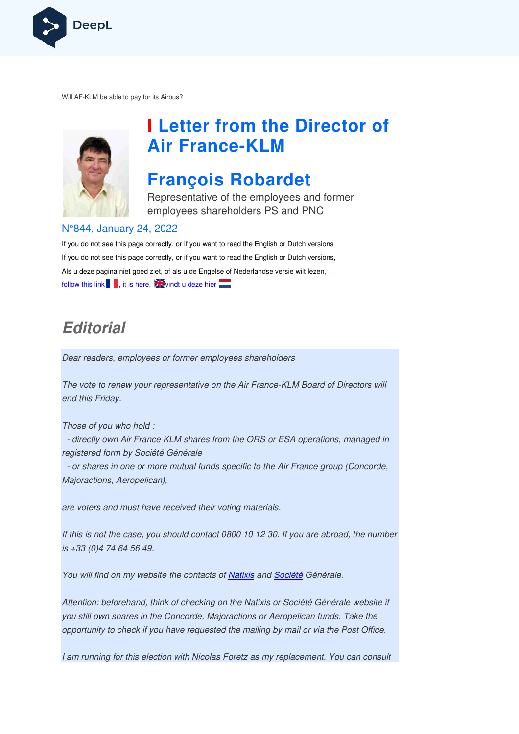

Will AF-KLM be able to pay for its Airbus?



# **I Letter from the Director of Air France France-KLM**

## **François Robardet**

Representative of the employees and former employees shareholders PS and PNC

#### N°844, January 24, 2022

If you do not see this page correctly, or if you want to read the English or Dutch versions If you do not see this page correctly, or if you want to read the English or Dutch versions, If you do not see this page correctly, or if you want to read the English or Dutch versior<br>Als u deze pagina niet goed ziet, of als u de Engelse of Nederlandse versie wilt lezen, follow this link  $\blacksquare$ , it is here,  $\mathbb{\tilde{Z}}$  windt u deze hier

## **Editorial**

Dear readers, employees or former employees shareholders

The vote to renew your representative on the Air France France-KLM Board of Directors will end this Friday.

Those of you who hold :

 - directly own Air France KLM shares from the ORS or ESA operations, managed in registered form by Société Générale *KLM Board of D<br>ESA operations,<br>Air France group<br>If you are abroa<br>poiété Générale.<br>Société Générale.* 

 - or shares in one or more mutual funds specific to the Air France group (Concorde, Majoractions, Aeropelican),

are voters and must have received their voting materials.

If this is not the case, you should contact 0800 10 12 30. If you are abroad, the number is +33 (0)4 74 64 56 49. ve received their voting materials.<br>ou should contact 0800 10 12 30. If you are abroad<br>.<br>osite the contacts of <u>Natixis</u> and <u>Société</u> Générale.

You will find on my website the contacts of Natixis and Société Générale.

Attention: beforehand, think of checking on the Natixis or Société Générale website if you still own shares in the Concorde, Majoractions or Aeropelican funds funds. Take the opportunity to check if you have requested the mailing by mail or via the Post Office.

I am running for this election with Nicolas Foretz as my replacement. You can consult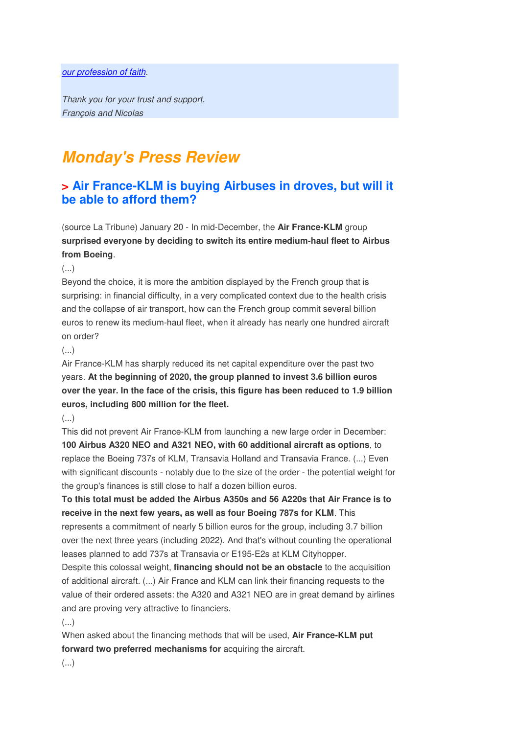#### our profession of faith.

Thank you for your trust and support. François and Nicolas

## **Monday's Press Review**

## **> Air France-KLM is buying Airbuses in droves, but will it be able to afford them?**

(source La Tribune) January 20 - In mid-December, the **Air France-KLM** group **surprised everyone by deciding to switch its entire medium-haul fleet to Airbus from Boeing**.

(...)

Beyond the choice, it is more the ambition displayed by the French group that is surprising: in financial difficulty, in a very complicated context due to the health crisis and the collapse of air transport, how can the French group commit several billion euros to renew its medium-haul fleet, when it already has nearly one hundred aircraft on order?

#### $(\ldots)$

Air France-KLM has sharply reduced its net capital expenditure over the past two years. **At the beginning of 2020, the group planned to invest 3.6 billion euros over the year. In the face of the crisis, this figure has been reduced to 1.9 billion euros, including 800 million for the fleet.** 

#### (...)

This did not prevent Air France-KLM from launching a new large order in December: **100 Airbus A320 NEO and A321 NEO, with 60 additional aircraft as options**, to replace the Boeing 737s of KLM, Transavia Holland and Transavia France. (...) Even with significant discounts - notably due to the size of the order - the potential weight for the group's finances is still close to half a dozen billion euros.

**To this total must be added the Airbus A350s and 56 A220s that Air France is to receive in the next few years, as well as four Boeing 787s for KLM**. This represents a commitment of nearly 5 billion euros for the group, including 3.7 billion over the next three years (including 2022). And that's without counting the operational leases planned to add 737s at Transavia or E195-E2s at KLM Cityhopper.

Despite this colossal weight, **financing should not be an obstacle** to the acquisition of additional aircraft. (...) Air France and KLM can link their financing requests to the value of their ordered assets: the A320 and A321 NEO are in great demand by airlines and are proving very attractive to financiers.

(...)

When asked about the financing methods that will be used, **Air France-KLM put**  forward two preferred mechanisms for acquiring the aircraft.

(...)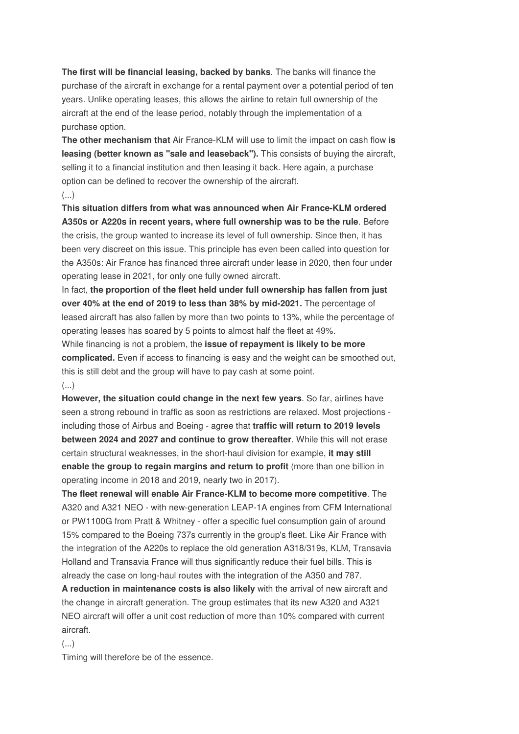**The first will be financial leasing, backed by banks**. The banks will finance the purchase of the aircraft in exchange for a rental payment over a potential period of ten years. Unlike operating leases, this allows the airline to retain full ownership of the aircraft at the end of the lease period, notably through the implementation of a purchase option.

**The other mechanism that** Air France-KLM will use to limit the impact on cash flow **is leasing (better known as "sale and leaseback").** This consists of buying the aircraft, selling it to a financial institution and then leasing it back. Here again, a purchase option can be defined to recover the ownership of the aircraft. (...)

**This situation differs from what was announced when Air France-KLM ordered A350s or A220s in recent years, where full ownership was to be the rule**. Before the crisis, the group wanted to increase its level of full ownership. Since then, it has been very discreet on this issue. This principle has even been called into question for the A350s: Air France has financed three aircraft under lease in 2020, then four under operating lease in 2021, for only one fully owned aircraft.

In fact, **the proportion of the fleet held under full ownership has fallen from just over 40% at the end of 2019 to less than 38% by mid-2021.** The percentage of leased aircraft has also fallen by more than two points to 13%, while the percentage of operating leases has soared by 5 points to almost half the fleet at 49%. While financing is not a problem, the **issue of repayment is likely to be more complicated.** Even if access to financing is easy and the weight can be smoothed out, this is still debt and the group will have to pay cash at some point. (...)

**However, the situation could change in the next few years**. So far, airlines have seen a strong rebound in traffic as soon as restrictions are relaxed. Most projections including those of Airbus and Boeing - agree that **traffic will return to 2019 levels between 2024 and 2027 and continue to grow thereafter**. While this will not erase certain structural weaknesses, in the short-haul division for example, **it may still enable the group to regain margins and return to profit** (more than one billion in operating income in 2018 and 2019, nearly two in 2017).

**The fleet renewal will enable Air France-KLM to become more competitive**. The A320 and A321 NEO - with new-generation LEAP-1A engines from CFM International or PW1100G from Pratt & Whitney - offer a specific fuel consumption gain of around 15% compared to the Boeing 737s currently in the group's fleet. Like Air France with the integration of the A220s to replace the old generation A318/319s, KLM, Transavia Holland and Transavia France will thus significantly reduce their fuel bills. This is already the case on long-haul routes with the integration of the A350 and 787.

**A reduction in maintenance costs is also likely** with the arrival of new aircraft and the change in aircraft generation. The group estimates that its new A320 and A321 NEO aircraft will offer a unit cost reduction of more than 10% compared with current aircraft.

(...)

Timing will therefore be of the essence.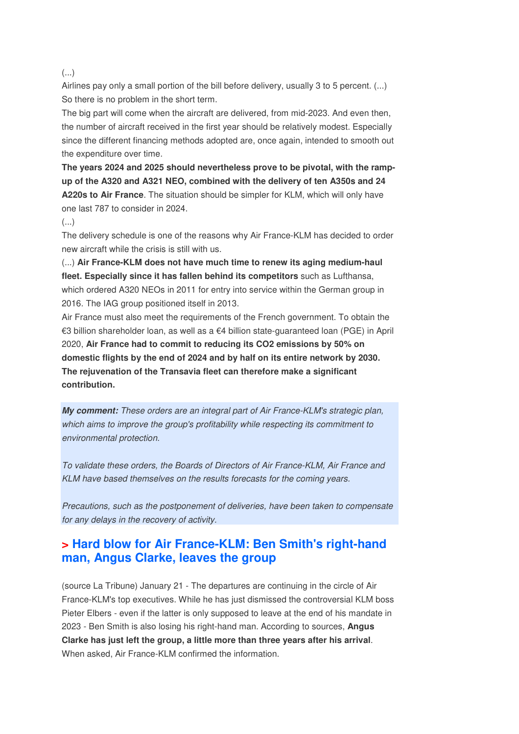#### (...)

Airlines pay only a small portion of the bill before delivery, usually 3 to 5 percent. (...) So there is no problem in the short term.

The big part will come when the aircraft are delivered, from mid-2023. And even then, the number of aircraft received in the first year should be relatively modest. Especially since the different financing methods adopted are, once again, intended to smooth out the expenditure over time.

**The years 2024 and 2025 should nevertheless prove to be pivotal, with the rampup of the A320 and A321 NEO, combined with the delivery of ten A350s and 24 A220s to Air France**. The situation should be simpler for KLM, which will only have one last 787 to consider in 2024.

#### (...)

The delivery schedule is one of the reasons why Air France-KLM has decided to order new aircraft while the crisis is still with us.

(...) **Air France-KLM does not have much time to renew its aging medium-haul fleet. Especially since it has fallen behind its competitors** such as Lufthansa, which ordered A320 NEOs in 2011 for entry into service within the German group in 2016. The IAG group positioned itself in 2013.

Air France must also meet the requirements of the French government. To obtain the €3 billion shareholder loan, as well as a €4 billion state-guaranteed loan (PGE) in April 2020, **Air France had to commit to reducing its CO2 emissions by 50% on domestic flights by the end of 2024 and by half on its entire network by 2030. The rejuvenation of the Transavia fleet can therefore make a significant contribution.**

**My comment:** These orders are an integral part of Air France-KLM's strategic plan, which aims to improve the group's profitability while respecting its commitment to environmental protection.

To validate these orders, the Boards of Directors of Air France-KLM, Air France and KLM have based themselves on the results forecasts for the coming years.

Precautions, such as the postponement of deliveries, have been taken to compensate for any delays in the recovery of activity.

## **> Hard blow for Air France-KLM: Ben Smith's right-hand man, Angus Clarke, leaves the group**

(source La Tribune) January 21 - The departures are continuing in the circle of Air France-KLM's top executives. While he has just dismissed the controversial KLM boss Pieter Elbers - even if the latter is only supposed to leave at the end of his mandate in 2023 - Ben Smith is also losing his right-hand man. According to sources, **Angus Clarke has just left the group, a little more than three years after his arrival**. When asked, Air France-KLM confirmed the information.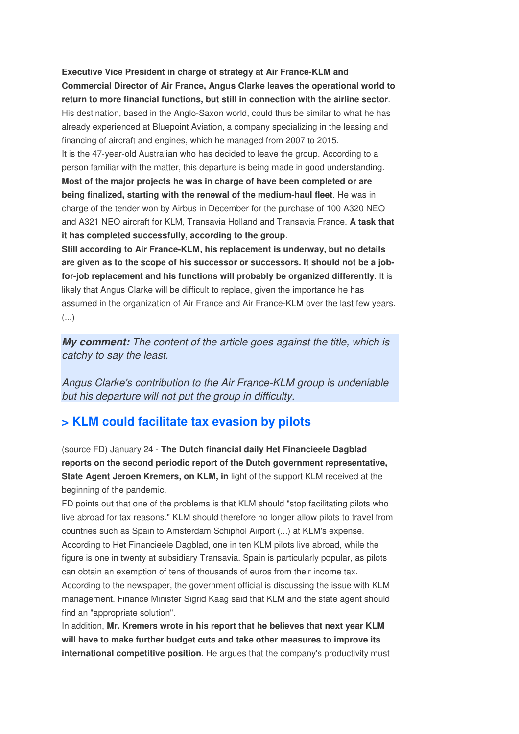**Executive Vice President in charge of strategy at Air France-KLM and Commercial Director of Air France, Angus Clarke leaves the operational world to return to more financial functions, but still in connection with the airline sector**. His destination, based in the Anglo-Saxon world, could thus be similar to what he has already experienced at Bluepoint Aviation, a company specializing in the leasing and financing of aircraft and engines, which he managed from 2007 to 2015. It is the 47-year-old Australian who has decided to leave the group. According to a person familiar with the matter, this departure is being made in good understanding. **Most of the major projects he was in charge of have been completed or are being finalized, starting with the renewal of the medium-haul fleet**. He was in charge of the tender won by Airbus in December for the purchase of 100 A320 NEO and A321 NEO aircraft for KLM, Transavia Holland and Transavia France. **A task that it has completed successfully, according to the group**.

**Still according to Air France-KLM, his replacement is underway, but no details are given as to the scope of his successor or successors. It should not be a jobfor-job replacement and his functions will probably be organized differently**. It is likely that Angus Clarke will be difficult to replace, given the importance he has assumed in the organization of Air France and Air France-KLM over the last few years. (...)

**My comment:** The content of the article goes against the title, which is catchy to say the least.

Angus Clarke's contribution to the Air France-KLM group is undeniable but his departure will not put the group in difficulty.

### **> KLM could facilitate tax evasion by pilots**

(source FD) January 24 - **The Dutch financial daily Het Financieele Dagblad reports on the second periodic report of the Dutch government representative, State Agent Jeroen Kremers, on KLM, in** light of the support KLM received at the beginning of the pandemic.

FD points out that one of the problems is that KLM should "stop facilitating pilots who live abroad for tax reasons." KLM should therefore no longer allow pilots to travel from countries such as Spain to Amsterdam Schiphol Airport (...) at KLM's expense. According to Het Financieele Dagblad, one in ten KLM pilots live abroad, while the figure is one in twenty at subsidiary Transavia. Spain is particularly popular, as pilots can obtain an exemption of tens of thousands of euros from their income tax. According to the newspaper, the government official is discussing the issue with KLM management. Finance Minister Sigrid Kaag said that KLM and the state agent should find an "appropriate solution".

In addition, **Mr. Kremers wrote in his report that he believes that next year KLM will have to make further budget cuts and take other measures to improve its international competitive position**. He argues that the company's productivity must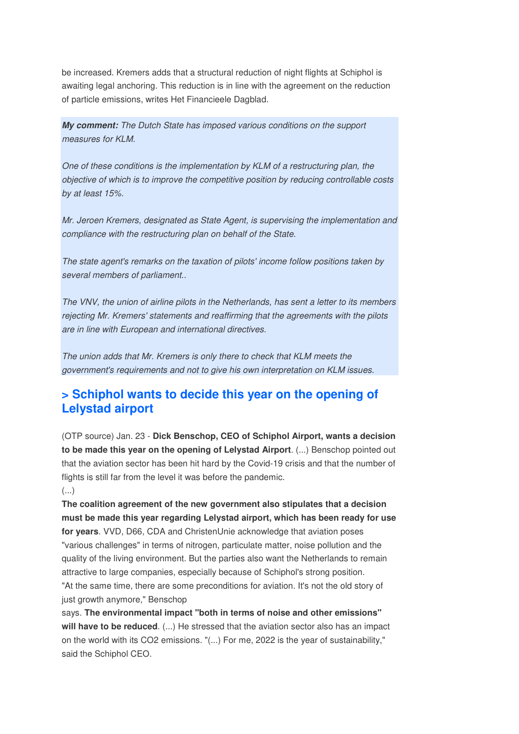be increased. Kremers adds that a structural reduction of night flights at Schiphol is awaiting legal anchoring. This reduction is in line with the agreement on the reduction of particle emissions, writes Het Financieele Dagblad.

**My comment:** The Dutch State has imposed various conditions on the support measures for KLM.

One of these conditions is the implementation by KLM of a restructuring plan, the objective of which is to improve the competitive position by reducing controllable costs by at least 15%.

Mr. Jeroen Kremers, designated as State Agent, is supervising the implementation and compliance with the restructuring plan on behalf of the State.

The state agent's remarks on the taxation of pilots' income follow positions taken by several members of parliament...

The VNV, the union of airline pilots in the Netherlands, has sent a letter to its members rejecting Mr. Kremers' statements and reaffirming that the agreements with the pilots are in line with European and international directives.

The union adds that Mr. Kremers is only there to check that KLM meets the government's requirements and not to give his own interpretation on KLM issues.

## **> Schiphol wants to decide this year on the opening of Lelystad airport**

(OTP source) Jan. 23 - **Dick Benschop, CEO of Schiphol Airport, wants a decision to be made this year on the opening of Lelystad Airport**. (...) Benschop pointed out that the aviation sector has been hit hard by the Covid-19 crisis and that the number of flights is still far from the level it was before the pandemic. (...)

**The coalition agreement of the new government also stipulates that a decision must be made this year regarding Lelystad airport, which has been ready for use for years**. VVD, D66, CDA and ChristenUnie acknowledge that aviation poses "various challenges" in terms of nitrogen, particulate matter, noise pollution and the quality of the living environment. But the parties also want the Netherlands to remain attractive to large companies, especially because of Schiphol's strong position. "At the same time, there are some preconditions for aviation. It's not the old story of just growth anymore," Benschop

says. **The environmental impact "both in terms of noise and other emissions" will have to be reduced**. (...) He stressed that the aviation sector also has an impact on the world with its CO2 emissions. "(...) For me, 2022 is the year of sustainability," said the Schiphol CEO.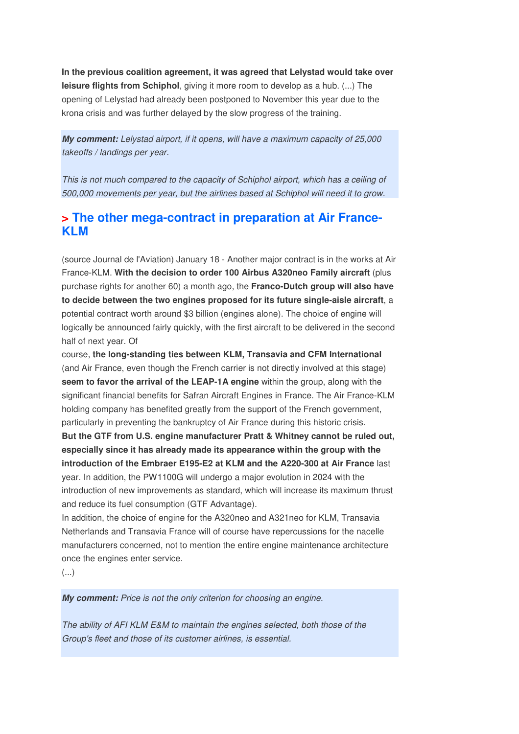**In the previous coalition agreement, it was agreed that Lelystad would take over leisure flights from Schiphol**, giving it more room to develop as a hub. (...) The opening of Lelystad had already been postponed to November this year due to the krona crisis and was further delayed by the slow progress of the training.

**My comment:** Lelystad airport, if it opens, will have a maximum capacity of 25,000 takeoffs / landings per year.

This is not much compared to the capacity of Schiphol airport, which has a ceiling of 500,000 movements per year, but the airlines based at Schiphol will need it to grow.

## **> The other mega-contract in preparation at Air France-KLM**

(source Journal de l'Aviation) January 18 - Another major contract is in the works at Air France-KLM. **With the decision to order 100 Airbus A320neo Family aircraft** (plus purchase rights for another 60) a month ago, the **Franco-Dutch group will also have to decide between the two engines proposed for its future single-aisle aircraft**, a potential contract worth around \$3 billion (engines alone). The choice of engine will logically be announced fairly quickly, with the first aircraft to be delivered in the second half of next year. Of

course, **the long-standing ties between KLM, Transavia and CFM International**  (and Air France, even though the French carrier is not directly involved at this stage) **seem to favor the arrival of the LEAP-1A engine** within the group, along with the significant financial benefits for Safran Aircraft Engines in France. The Air France-KLM holding company has benefited greatly from the support of the French government, particularly in preventing the bankruptcy of Air France during this historic crisis. **But the GTF from U.S. engine manufacturer Pratt & Whitney cannot be ruled out, especially since it has already made its appearance within the group with the introduction of the Embraer E195-E2 at KLM and the A220-300 at Air France** last

year. In addition, the PW1100G will undergo a major evolution in 2024 with the introduction of new improvements as standard, which will increase its maximum thrust and reduce its fuel consumption (GTF Advantage).

In addition, the choice of engine for the A320neo and A321neo for KLM, Transavia Netherlands and Transavia France will of course have repercussions for the nacelle manufacturers concerned, not to mention the entire engine maintenance architecture once the engines enter service.

(...)

**My comment:** Price is not the only criterion for choosing an engine.

The ability of AFI KLM E&M to maintain the engines selected, both those of the Group's fleet and those of its customer airlines, is essential.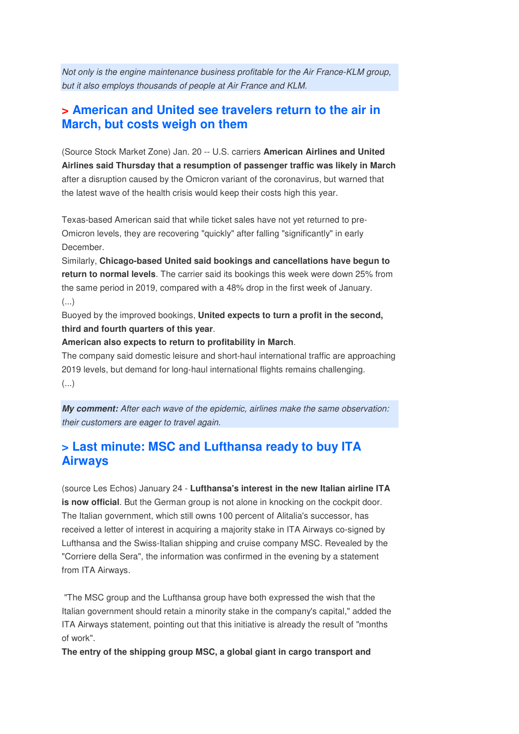Not only is the engine maintenance business profitable for the Air France-KLM group, but it also employs thousands of people at Air France and KLM.

## **> American and United see travelers return to the air in March, but costs weigh on them**

(Source Stock Market Zone) Jan. 20 -- U.S. carriers **American Airlines and United Airlines said Thursday that a resumption of passenger traffic was likely in March**  after a disruption caused by the Omicron variant of the coronavirus, but warned that the latest wave of the health crisis would keep their costs high this year.

Texas-based American said that while ticket sales have not yet returned to pre-Omicron levels, they are recovering "quickly" after falling "significantly" in early December.

Similarly, **Chicago-based United said bookings and cancellations have begun to return to normal levels**. The carrier said its bookings this week were down 25% from the same period in 2019, compared with a 48% drop in the first week of January. (...)

Buoyed by the improved bookings, **United expects to turn a profit in the second, third and fourth quarters of this year**.

#### **American also expects to return to profitability in March**.

The company said domestic leisure and short-haul international traffic are approaching 2019 levels, but demand for long-haul international flights remains challenging. (...)

**My comment:** After each wave of the epidemic, airlines make the same observation: their customers are eager to travel again.

## **> Last minute: MSC and Lufthansa ready to buy ITA Airways**

(source Les Echos) January 24 - **Lufthansa's interest in the new Italian airline ITA is now official**. But the German group is not alone in knocking on the cockpit door. The Italian government, which still owns 100 percent of Alitalia's successor, has received a letter of interest in acquiring a majority stake in ITA Airways co-signed by Lufthansa and the Swiss-Italian shipping and cruise company MSC. Revealed by the "Corriere della Sera", the information was confirmed in the evening by a statement from ITA Airways.

 "The MSC group and the Lufthansa group have both expressed the wish that the Italian government should retain a minority stake in the company's capital," added the ITA Airways statement, pointing out that this initiative is already the result of "months of work".

**The entry of the shipping group MSC, a global giant in cargo transport and**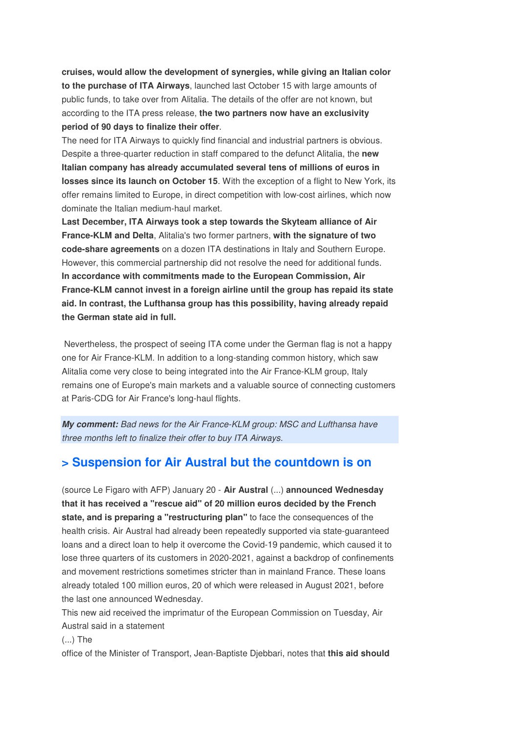**cruises, would allow the development of synergies, while giving an Italian color to the purchase of ITA Airways**, launched last October 15 with large amounts of public funds, to take over from Alitalia. The details of the offer are not known, but according to the ITA press release, **the two partners now have an exclusivity period of 90 days to finalize their offer**.

The need for ITA Airways to quickly find financial and industrial partners is obvious. Despite a three-quarter reduction in staff compared to the defunct Alitalia, the **new Italian company has already accumulated several tens of millions of euros in losses since its launch on October 15**. With the exception of a flight to New York, its offer remains limited to Europe, in direct competition with low-cost airlines, which now dominate the Italian medium-haul market.

**Last December, ITA Airways took a step towards the Skyteam alliance of Air France-KLM and Delta**, Alitalia's two former partners, **with the signature of two code-share agreements** on a dozen ITA destinations in Italy and Southern Europe. However, this commercial partnership did not resolve the need for additional funds. **In accordance with commitments made to the European Commission, Air France-KLM cannot invest in a foreign airline until the group has repaid its state aid. In contrast, the Lufthansa group has this possibility, having already repaid the German state aid in full.** 

 Nevertheless, the prospect of seeing ITA come under the German flag is not a happy one for Air France-KLM. In addition to a long-standing common history, which saw Alitalia come very close to being integrated into the Air France-KLM group, Italy remains one of Europe's main markets and a valuable source of connecting customers at Paris-CDG for Air France's long-haul flights.

**My comment:** Bad news for the Air France-KLM group: MSC and Lufthansa have three months left to finalize their offer to buy ITA Airways.

## **> Suspension for Air Austral but the countdown is on**

(source Le Figaro with AFP) January 20 - **Air Austral** (...) **announced Wednesday that it has received a "rescue aid" of 20 million euros decided by the French state, and is preparing a "restructuring plan"** to face the consequences of the health crisis. Air Austral had already been repeatedly supported via state-guaranteed loans and a direct loan to help it overcome the Covid-19 pandemic, which caused it to lose three quarters of its customers in 2020-2021, against a backdrop of confinements and movement restrictions sometimes stricter than in mainland France. These loans already totaled 100 million euros, 20 of which were released in August 2021, before the last one announced Wednesday.

This new aid received the imprimatur of the European Commission on Tuesday, Air Austral said in a statement

(...) The

office of the Minister of Transport, Jean-Baptiste Djebbari, notes that **this aid should**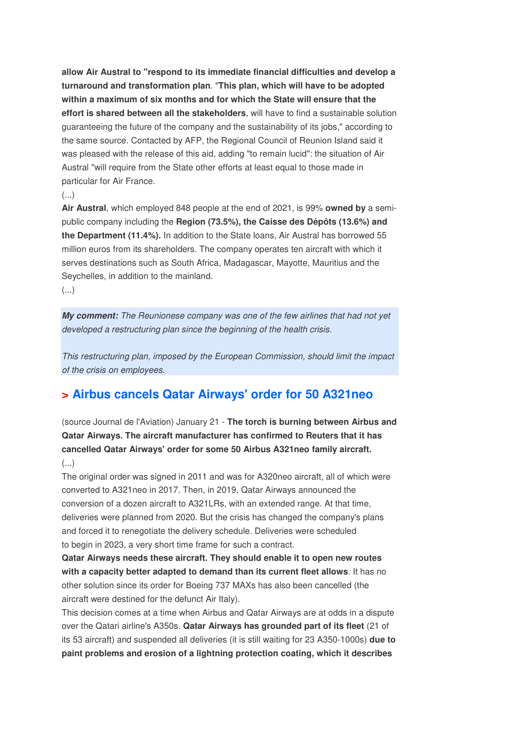**allow Air Austral to "respond to its immediate financial difficulties and develop a turnaround and transformation plan**. "**This plan, which will have to be adopted within a maximum of six months and for which the State will ensure that the effort is shared between all the stakeholders**, will have to find a sustainable solution guaranteeing the future of the company and the sustainability of its jobs," according to the same source. Contacted by AFP, the Regional Council of Reunion Island said it was pleased with the release of this aid, adding "to remain lucid": the situation of Air Austral "will require from the State other efforts at least equal to those made in particular for Air France.

#### (...)

**Air Austral**, which employed 848 people at the end of 2021, is 99% **owned by** a semipublic company including the **Region (73.5%), the Caisse des Dépôts (13.6%) and the Department (11.4%).** In addition to the State loans, Air Austral has borrowed 55 million euros from its shareholders. The company operates ten aircraft with which it serves destinations such as South Africa, Madagascar, Mayotte, Mauritius and the Seychelles, in addition to the mainland.

(...)

**My comment:** The Reunionese company was one of the few airlines that had not yet developed a restructuring plan since the beginning of the health crisis.

This restructuring plan, imposed by the European Commission, should limit the impact of the crisis on employees.

## **> Airbus cancels Qatar Airways' order for 50 A321neo**

(source Journal de l'Aviation) January 21 - **The torch is burning between Airbus and Qatar Airways. The aircraft manufacturer has confirmed to Reuters that it has cancelled Qatar Airways' order for some 50 Airbus A321neo family aircraft.**  (...)

The original order was signed in 2011 and was for A320neo aircraft, all of which were converted to A321neo in 2017. Then, in 2019, Qatar Airways announced the conversion of a dozen aircraft to A321LRs, with an extended range. At that time, deliveries were planned from 2020. But the crisis has changed the company's plans and forced it to renegotiate the delivery schedule. Deliveries were scheduled to begin in 2023, a very short time frame for such a contract.

**Qatar Airways needs these aircraft. They should enable it to open new routes with a capacity better adapted to demand than its current fleet allows**. It has no other solution since its order for Boeing 737 MAXs has also been cancelled (the aircraft were destined for the defunct Air Italy).

This decision comes at a time when Airbus and Qatar Airways are at odds in a dispute over the Qatari airline's A350s. **Qatar Airways has grounded part of its fleet** (21 of its 53 aircraft) and suspended all deliveries (it is still waiting for 23 A350-1000s) **due to paint problems and erosion of a lightning protection coating, which it describes**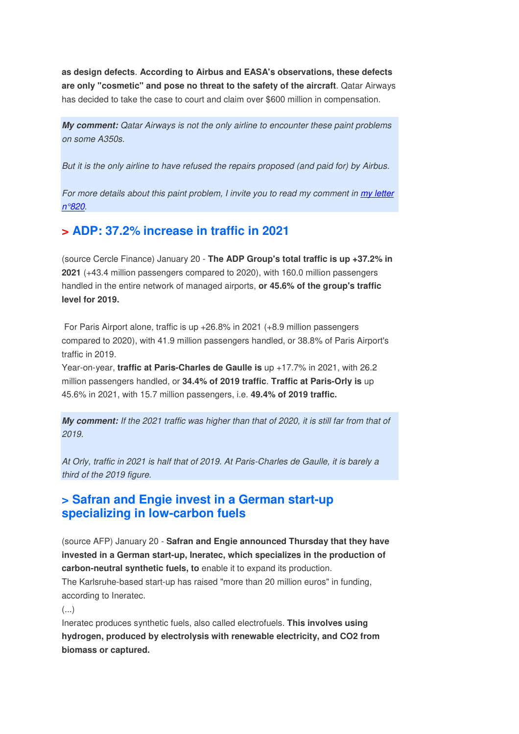**as design defects**. **According to Airbus and EASA's observations, these defects are only "cosmetic" and pose no threat to the safety of the aircraft**. Qatar Airways has decided to take the case to court and claim over \$600 million in compensation.

**My comment:** Qatar Airways is not the only airline to encounter these paint problems on some A350s.

But it is the only airline to have refused the repairs proposed (and paid for) by Airbus.

For more details about this paint problem, I invite you to read my comment in my letter n°820.

## **> ADP: 37.2% increase in traffic in 2021**

(source Cercle Finance) January 20 - **The ADP Group's total traffic is up +37.2% in 2021** (+43.4 million passengers compared to 2020), with 160.0 million passengers handled in the entire network of managed airports, **or 45.6% of the group's traffic level for 2019.** 

 For Paris Airport alone, traffic is up +26.8% in 2021 (+8.9 million passengers compared to 2020), with 41.9 million passengers handled, or 38.8% of Paris Airport's traffic in 2019.

Year-on-year, **traffic at Paris-Charles de Gaulle is** up +17.7% in 2021, with 26.2 million passengers handled, or **34.4% of 2019 traffic**. **Traffic at Paris-Orly is** up 45.6% in 2021, with 15.7 million passengers, i.e. **49.4% of 2019 traffic.**

**My comment:** If the 2021 traffic was higher than that of 2020, it is still far from that of 2019.

At Orly, traffic in 2021 is half that of 2019. At Paris-Charles de Gaulle, it is barely a third of the 2019 figure.

## **> Safran and Engie invest in a German start-up specializing in low-carbon fuels**

(source AFP) January 20 - **Safran and Engie announced Thursday that they have invested in a German start-up, Ineratec, which specializes in the production of carbon-neutral synthetic fuels, to** enable it to expand its production.

The Karlsruhe-based start-up has raised "more than 20 million euros" in funding, according to Ineratec.

(...)

Ineratec produces synthetic fuels, also called electrofuels. **This involves using hydrogen, produced by electrolysis with renewable electricity, and CO2 from biomass or captured.**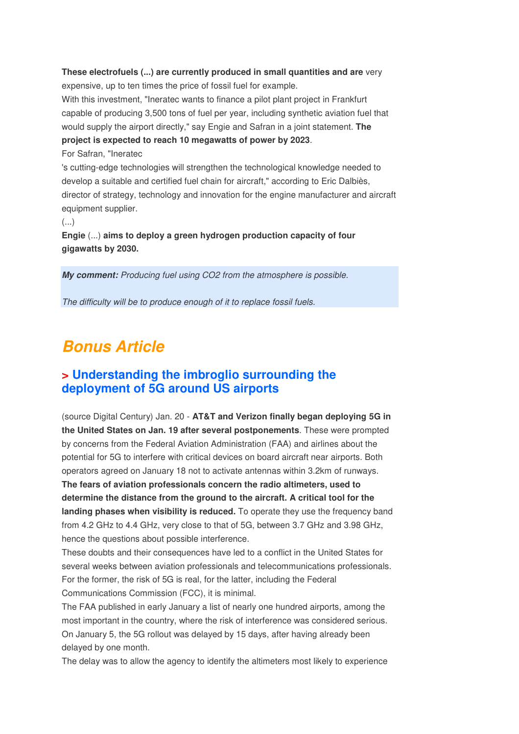#### **These electrofuels (...) are currently produced in small quantities and are** very expensive, up to ten times the price of fossil fuel for example.

With this investment, "Ineratec wants to finance a pilot plant project in Frankfurt capable of producing 3,500 tons of fuel per year, including synthetic aviation fuel that would supply the airport directly," say Engie and Safran in a joint statement. **The project is expected to reach 10 megawatts of power by 2023**.

For Safran, "Ineratec

's cutting-edge technologies will strengthen the technological knowledge needed to develop a suitable and certified fuel chain for aircraft," according to Eric Dalbiès, director of strategy, technology and innovation for the engine manufacturer and aircraft equipment supplier.

(...)

**Engie** (...) **aims to deploy a green hydrogen production capacity of four gigawatts by 2030.**

**My comment:** Producing fuel using CO2 from the atmosphere is possible.

The difficulty will be to produce enough of it to replace fossil fuels.

## **Bonus Article**

## **> Understanding the imbroglio surrounding the deployment of 5G around US airports**

(source Digital Century) Jan. 20 - **AT&T and Verizon finally began deploying 5G in the United States on Jan. 19 after several postponements**. These were prompted by concerns from the Federal Aviation Administration (FAA) and airlines about the potential for 5G to interfere with critical devices on board aircraft near airports. Both operators agreed on January 18 not to activate antennas within 3.2km of runways. **The fears of aviation professionals concern the radio altimeters, used to determine the distance from the ground to the aircraft. A critical tool for the landing phases when visibility is reduced.** To operate they use the frequency band from 4.2 GHz to 4.4 GHz, very close to that of 5G, between 3.7 GHz and 3.98 GHz, hence the questions about possible interference.

These doubts and their consequences have led to a conflict in the United States for several weeks between aviation professionals and telecommunications professionals. For the former, the risk of 5G is real, for the latter, including the Federal Communications Commission (FCC), it is minimal.

The FAA published in early January a list of nearly one hundred airports, among the most important in the country, where the risk of interference was considered serious. On January 5, the 5G rollout was delayed by 15 days, after having already been delayed by one month.

The delay was to allow the agency to identify the altimeters most likely to experience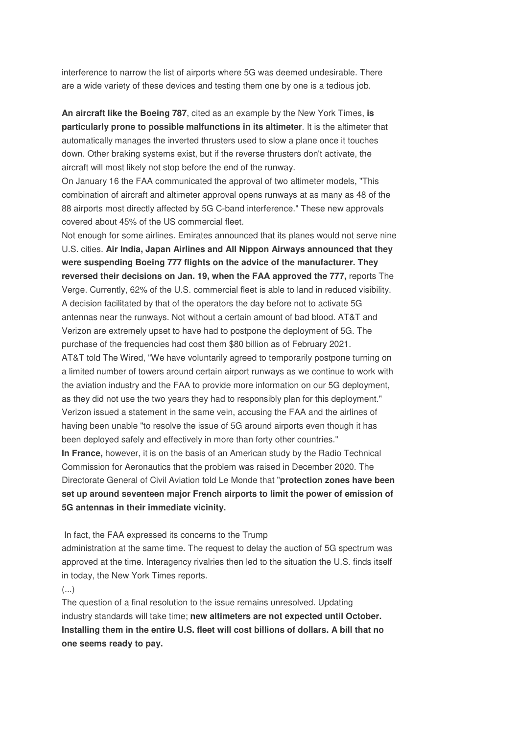interference to narrow the list of airports where 5G was deemed undesirable. There are a wide variety of these devices and testing them one by one is a tedious job.

**An aircraft like the Boeing 787**, cited as an example by the New York Times, **is particularly prone to possible malfunctions in its altimeter**. It is the altimeter that automatically manages the inverted thrusters used to slow a plane once it touches down. Other braking systems exist, but if the reverse thrusters don't activate, the aircraft will most likely not stop before the end of the runway.

On January 16 the FAA communicated the approval of two altimeter models, "This combination of aircraft and altimeter approval opens runways at as many as 48 of the 88 airports most directly affected by 5G C-band interference." These new approvals covered about 45% of the US commercial fleet.

Not enough for some airlines. Emirates announced that its planes would not serve nine U.S. cities. **Air India, Japan Airlines and All Nippon Airways announced that they were suspending Boeing 777 flights on the advice of the manufacturer. They reversed their decisions on Jan. 19, when the FAA approved the 777,** reports The Verge. Currently, 62% of the U.S. commercial fleet is able to land in reduced visibility. A decision facilitated by that of the operators the day before not to activate 5G antennas near the runways. Not without a certain amount of bad blood. AT&T and Verizon are extremely upset to have had to postpone the deployment of 5G. The purchase of the frequencies had cost them \$80 billion as of February 2021. AT&T told The Wired, "We have voluntarily agreed to temporarily postpone turning on a limited number of towers around certain airport runways as we continue to work with the aviation industry and the FAA to provide more information on our 5G deployment, as they did not use the two years they had to responsibly plan for this deployment." Verizon issued a statement in the same vein, accusing the FAA and the airlines of having been unable "to resolve the issue of 5G around airports even though it has been deployed safely and effectively in more than forty other countries." **In France,** however, it is on the basis of an American study by the Radio Technical Commission for Aeronautics that the problem was raised in December 2020. The Directorate General of Civil Aviation told Le Monde that "**protection zones have been set up around seventeen major French airports to limit the power of emission of** 

**5G antennas in their immediate vicinity.** 

In fact, the FAA expressed its concerns to the Trump

administration at the same time. The request to delay the auction of 5G spectrum was approved at the time. Interagency rivalries then led to the situation the U.S. finds itself in today, the New York Times reports.

(...)

The question of a final resolution to the issue remains unresolved. Updating industry standards will take time; **new altimeters are not expected until October. Installing them in the entire U.S. fleet will cost billions of dollars. A bill that no one seems ready to pay.**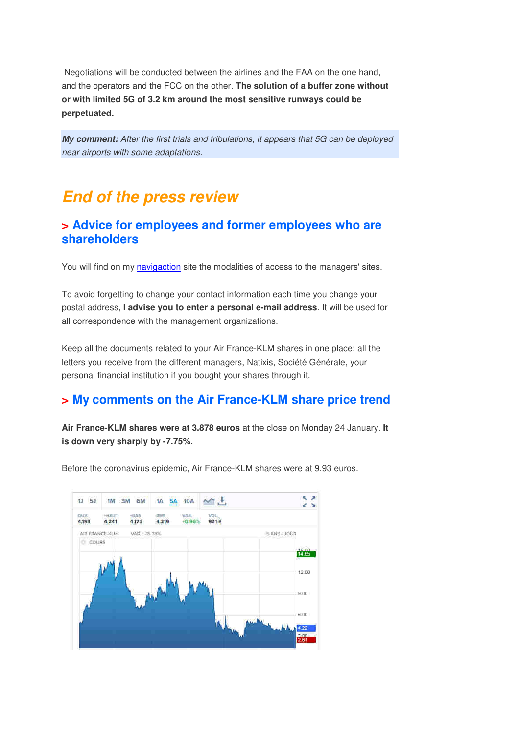Negotiations will be conducted between the airlines and the FAA on the one hand, and the operators and the FCC on the other. **The solution of a buffer zone without or with limited 5G of 3.2 km around the most sensitive runways could be perpetuated.**

**My comment:** After the first trials and tribulations, it appears that 5G can be deployed near airports with some adaptations.

## **End of the press review**

## **> Advice for employees and former employees who are shareholders**

You will find on my navigaction site the modalities of access to the managers' sites.

To avoid forgetting to change your contact information each time you change your postal address, **I advise you to enter a personal e-mail address**. It will be used for all correspondence with the management organizations.

Keep all the documents related to your Air France-KLM shares in one place: all the letters you receive from the different managers, Natixis, Société Générale, your personal financial institution if you bought your shares through it.

## **> My comments on the Air France-KLM share price trend**

**Air France-KLM shares were at 3.878 euros** at the close on Monday 24 January. **It is down very sharply by -7.75%.** 

Before the coronavirus epidemic, Air France-KLM shares were at 9.93 euros.

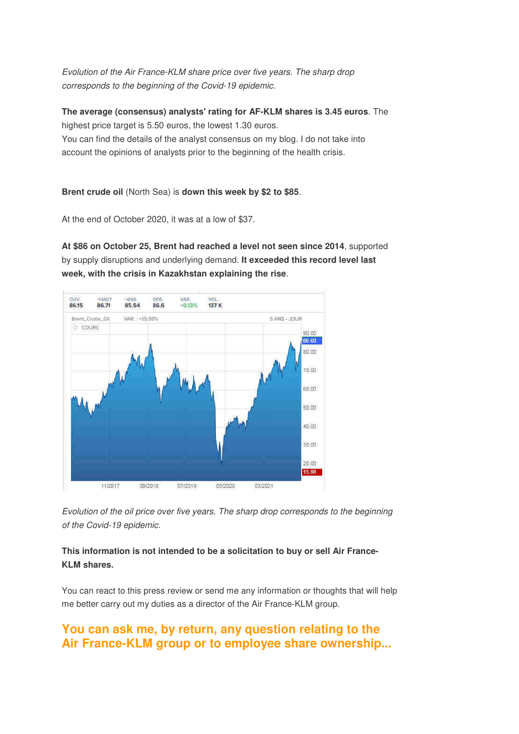Evolution of the Air France-KLM share price over five years. The sharp drop corresponds to the beginning of the Covid-19 epidemic.

**The average (consensus) analysts' rating for AF-KLM shares is 3.45 euros**. The highest price target is 5.50 euros, the lowest 1.30 euros. You can find the details of the analyst consensus on my blog. I do not take into account the opinions of analysts prior to the beginning of the health crisis.

#### **Brent crude oil** (North Sea) is **down this week by \$2 to \$85**.

At the end of October 2020, it was at a low of \$37.

**At \$86 on October 25, Brent had reached a level not seen since 2014**, supported by supply disruptions and underlying demand. **It exceeded this record level last week, with the crisis in Kazakhstan explaining the rise**.



Evolution of the oil price over five years. The sharp drop corresponds to the beginning of the Covid-19 epidemic.

#### **This information is not intended to be a solicitation to buy or sell Air France-KLM shares.**

You can react to this press review or send me any information or thoughts that will help me better carry out my duties as a director of the Air France-KLM group.

## **You can ask me, by return, any question relating to the Air France-KLM group or to employee share ownership...**